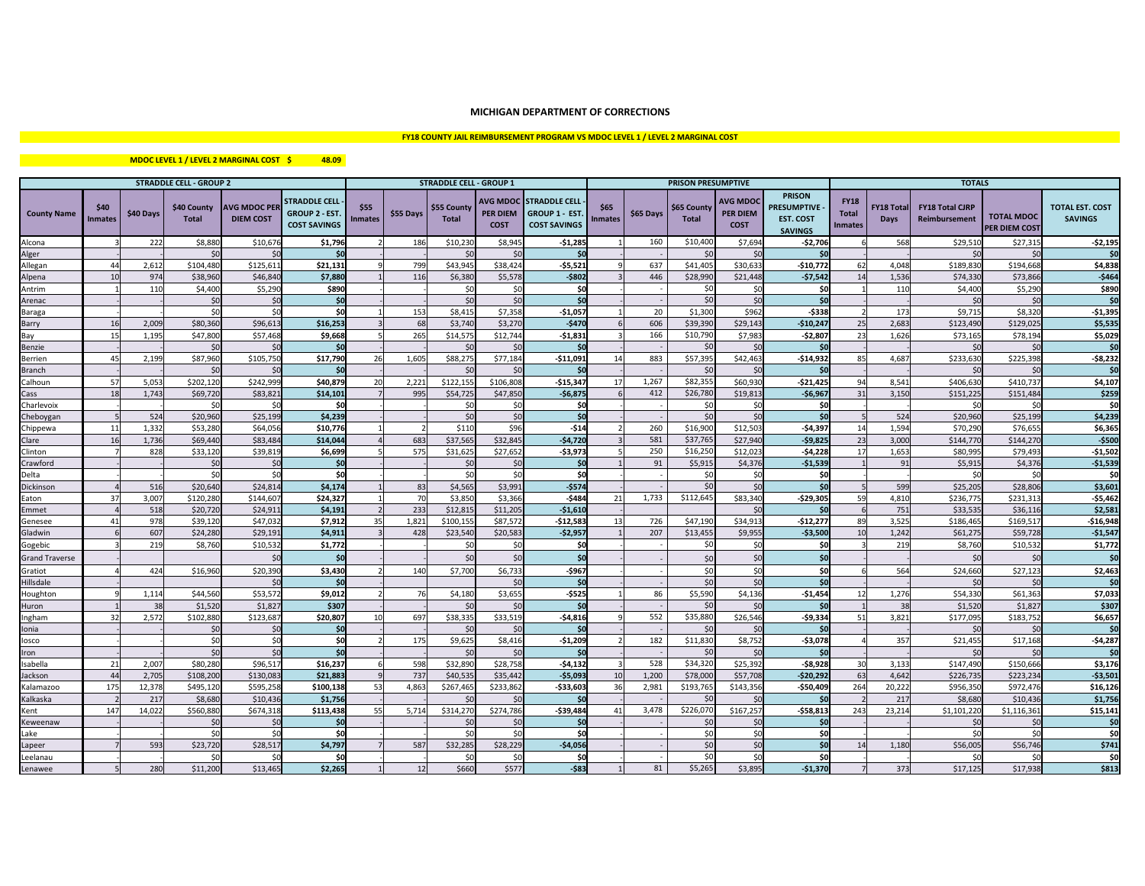## **MICHIGAN DEPARTMENT OF CORRECTIONS**

# **FY18 COUNTY JAIL REIMBURSEMENT PROGRAM VS MDOC LEVEL 1 / LEVEL 2 MARGINAL COST**

### **\$ 48.09 MDOC LEVEL 1 / LEVEL 2 MARGINAL COST**

| <b>STRADDLE CELL - GROUP 2</b> |                        |           |                             |                                         |                                                                     |                        |           | <b>STRADDLE CELL - GROUP 1</b> |                                                   |                                                                     |                        |           | <b>PRISON PRESUMPTIVE</b>   |                                                  |                                                                          |                                               |                                  | <b>TOTALS</b>                           |                                           |                                          |
|--------------------------------|------------------------|-----------|-----------------------------|-----------------------------------------|---------------------------------------------------------------------|------------------------|-----------|--------------------------------|---------------------------------------------------|---------------------------------------------------------------------|------------------------|-----------|-----------------------------|--------------------------------------------------|--------------------------------------------------------------------------|-----------------------------------------------|----------------------------------|-----------------------------------------|-------------------------------------------|------------------------------------------|
| <b>County Name</b>             | \$40<br><b>Inmates</b> | \$40 Days | \$40 County<br><b>Total</b> | <b>AVG MDOC PER</b><br><b>DIEM COST</b> | <b>STRADDLE CELL</b><br><b>GROUP 2 - EST</b><br><b>COST SAVINGS</b> | \$55<br><b>Inmates</b> | \$55 Days | \$55 County<br><b>Total</b>    | <b>AVG MDOC</b><br><b>PER DIEM</b><br><b>COST</b> | <b>STRADDLE CELL</b><br><b>GROUP 1 - EST</b><br><b>COST SAVINGS</b> | \$65<br><b>Inmates</b> | \$65 Days | \$65 County<br><b>Total</b> | <b>AVG MDO</b><br><b>PER DIEM</b><br><b>COST</b> | <b>PRISON</b><br><b>RESUMPTIVE</b><br><b>EST. COST</b><br><b>SAVINGS</b> | <b>FY18</b><br><b>Total</b><br><b>Inmates</b> | <b>FY18 Total</b><br><b>Days</b> | <b>FY18 Total CJRP</b><br>Reimbursement | <b>TOTAL MDOC</b><br><b>PER DIEM COST</b> | <b>TOTAL EST. COST</b><br><b>SAVINGS</b> |
| Alcona                         |                        | 222       | \$8,880                     | \$10,676                                | \$1,796                                                             |                        | 186       | \$10.23                        | \$8,945                                           | $-$1,285$                                                           |                        | 160       | \$10,400                    | \$7,694                                          | $-52,706$                                                                |                                               | 568                              | \$29,51                                 | \$27,315                                  | $-52,195$                                |
| Alger                          |                        |           | $\zeta$                     | $\zeta$                                 | \$0                                                                 |                        |           | $\zeta$                        | 50                                                | \$0                                                                 |                        |           | \$0                         | $\zeta$                                          | \$0                                                                      |                                               |                                  | $\zeta$                                 | $\mathsf{S}$ C                            | \$0                                      |
| Allegan                        | 44                     | 2,612     | \$104,480                   | \$125,611                               | \$21,131                                                            |                        | 799       | \$43,94                        | \$38,424                                          | $-$5,52$                                                            |                        | 637       | \$41,405                    | \$30,633                                         | $-$10,772$                                                               | 62                                            | 4,048                            | \$189,830                               | \$194,668                                 | \$4,838                                  |
| Alpena                         | 10                     | 974       | \$38,960                    | \$46,840                                | \$7.880                                                             |                        | 116       | \$6,380                        | \$5.578                                           | $-5802$                                                             |                        | 446       | \$28,990                    | \$21.448                                         | $-57.542$                                                                | 14                                            | 1.536                            | \$74.330                                | \$73,866                                  | $-5464$                                  |
| Antrim                         |                        | 110       | \$4,400                     | \$5,290                                 | \$890                                                               |                        |           | - ŚC                           | \$0                                               | \$0                                                                 |                        |           | \$0                         | \$ſ                                              | <b>SO</b>                                                                |                                               | 110                              | \$4,400                                 | \$5,290                                   | \$890                                    |
| Arenac                         |                        |           | $\mathsf{S}$                | $\mathsf{S}$                            | \$0                                                                 |                        |           | <sup>S</sup>                   | \$0                                               | \$0                                                                 |                        |           | \$0                         | \$0                                              | <b>SO</b>                                                                |                                               |                                  | $\zeta$                                 | \$0                                       | \$0                                      |
| Baraga                         |                        |           | \$0                         | $\mathsf{S}$                            | \$O                                                                 |                        | 153       | \$8.41                         | \$7,358                                           | $-$1,057$                                                           |                        | 20        | \$1,300                     | \$962                                            | $-5338$                                                                  |                                               | 173                              | \$9,71                                  | \$8,320                                   | $-$1,395$                                |
| Barry                          | 16                     | 2,009     | \$80,360                    | \$96,613                                | \$16,253                                                            |                        | 68        | \$3,740                        | \$3,27                                            | $-$470$                                                             |                        | 606       | \$39,390                    | \$29,143                                         | $-$10,247$                                                               | 25                                            | 2,683                            | \$123,490                               | \$129,02                                  | \$5,535                                  |
| Bay                            | 15                     | 1,195     | \$47,800                    | \$57,468                                | \$9,668                                                             |                        | 265       | \$14,57                        | \$12,744                                          | $-51,831$                                                           |                        | 166       | \$10,790                    | \$7,983                                          | $-$2,807$                                                                | 23                                            | 1,626                            | \$73,16                                 | \$78,19                                   | \$5,029                                  |
| Benzie                         |                        |           | \$0                         | $\mathsf{S}$                            | \$0                                                                 |                        |           |                                | $\mathsf{S}$                                      | \$0                                                                 |                        |           | \$0                         | \$0                                              | \$0                                                                      |                                               |                                  | $\mathsf{S}$                            | \$C                                       | \$0                                      |
| Berrien                        | 45                     | 2,199     | \$87,960                    | \$105,750                               | \$17,790                                                            | 26                     | 1,605     | \$88,27                        | \$77,184                                          | $-$11,09.$                                                          | 14                     | 883       | \$57,395                    | \$42,463                                         | $-$14,932$                                                               | 85                                            | 4,687                            | \$233,630                               | \$225,398                                 | $-58,232$                                |
| <b>Branch</b>                  |                        |           | Ś٢                          | $\mathsf{S}$                            | \$0                                                                 |                        |           |                                | 50                                                | \$0                                                                 |                        |           | \$0                         | \$ſ                                              | -SO                                                                      |                                               |                                  | -50                                     | -SC                                       | \$0                                      |
| Calhoun                        | 57                     | 5,053     | \$202,120                   | \$242,999                               | \$40,879                                                            | 20                     | 2,221     | \$122,15                       | \$106,808                                         | $-$15,347$                                                          | 17                     | 1,267     | \$82,355                    | \$60,930                                         | $-$21,425$                                                               | 94                                            | 8,541                            | \$406,63                                | \$410,73                                  | \$4,107                                  |
| Cass                           | 18                     | 1.743     | \$69,720                    | \$83,821                                | \$14,101                                                            |                        | 995       | \$54.72                        | \$47,850                                          | $-56,875$                                                           |                        | 412       | \$26,780                    | \$19,81                                          | $-$6,967$                                                                | 31                                            | 3.150                            | \$151,22                                | \$151,484                                 | \$259                                    |
| Charlevoix                     |                        |           | \$0                         | \$0                                     | \$0                                                                 |                        |           | \$C                            | \$0                                               | \$0                                                                 |                        |           | \$0                         | \$0                                              | \$O                                                                      |                                               |                                  | \$                                      | \$0                                       | \$0                                      |
| Cheboygar                      |                        | 524       | \$20,960                    | \$25.199                                | \$4,239                                                             |                        |           | $\leq$                         | \$0                                               | \$0                                                                 |                        |           | \$0                         | $\zeta$                                          | \$0                                                                      |                                               | 524                              | \$20,960                                | \$25.199                                  | \$4,239                                  |
| Chippewa                       | 11                     | 1,332     | \$53,280                    | \$64,056                                | \$10,776                                                            |                        |           | \$110                          | \$96                                              | $-514$                                                              |                        | 260       | \$16,900                    | \$12,503                                         | $-$4,397$                                                                | 14                                            | 1,594                            | \$70,290                                | \$76,655                                  | \$6,365                                  |
| Clare                          | 16                     | 1,736     | \$69,440                    | \$83,484                                | \$14,044                                                            |                        | 683       | \$37,56                        | \$32,84                                           | $-54,720$                                                           |                        | 581       | \$37,765                    | \$27,940                                         | $-59,825$                                                                | 23                                            | 3,000                            | \$144,770                               | \$144,270                                 | $-$500$                                  |
| Clinton                        |                        | 828       | \$33,120                    | \$39,819                                | \$6,699                                                             |                        | 575       | \$31.62                        | \$27,65                                           | $-$3,973$                                                           |                        | 250       | \$16.250                    | \$12.023                                         | $-54.228$                                                                | 17                                            | 1,653                            | \$80.99                                 | \$79,493                                  | $-$1,502$                                |
| Crawford                       |                        |           | $\zeta$                     | $\mathsf{S}$                            | \$0                                                                 |                        |           | $\mathsf{S}$                   | $\mathsf{S}$                                      | Śſ                                                                  |                        | 91        | \$5,915                     | \$4,376                                          | $-$1,539$                                                                |                                               | 91                               | \$5,91                                  | \$4,376                                   | $-$1,539$                                |
| Delta                          |                        |           | \$0                         | \$0                                     | \$0                                                                 |                        |           | <sup>S</sup>                   | \$0                                               | \$0                                                                 |                        |           | \$0                         | \$0                                              | \$0                                                                      |                                               |                                  | $\mathsf{S}$                            | \$C                                       | \$0                                      |
| Dickinson                      |                        | 516       | \$20,64                     | \$24,814                                | \$4,17                                                              |                        | 83        | \$4,56                         | \$3,99                                            | $-$574$                                                             |                        |           | \$0                         | $\zeta$                                          | \$0                                                                      |                                               | 599                              | \$25,20                                 | \$28,80                                   | \$3,601                                  |
| Eaton                          | 37                     | 3,007     | \$120,280                   | \$144,607                               | \$24,327                                                            |                        | 70        | \$3,850                        | \$3,366                                           | $-$484$                                                             | 21                     | 1,733     | \$112,645                   | \$83,340                                         | $-$29,305$                                                               | 59                                            | 4,810                            | \$236,775                               | \$231,31                                  | $-$5,462$                                |
| Emmet                          |                        | 518       | \$20,72                     | \$24,911                                | \$4,191                                                             |                        | 233       | \$12,81                        | \$11,20                                           | $-$1,610$                                                           |                        |           |                             | $\mathsf{S}$                                     | <b>SO</b>                                                                |                                               | 751                              | \$33,53                                 | \$36,11                                   | \$2,581                                  |
| Genesee                        | 41                     | 978       | \$39,12                     | \$47,032                                | \$7,912                                                             | 35                     | 1,821     | \$100,15                       | \$87,57                                           | $-$12,583$                                                          | 13                     | 726       | \$47,190                    | \$34,913                                         | $-$12,277$                                                               | 89                                            | 3,525                            | \$186,46                                | \$169,51                                  | $-$16,948$                               |
| Gladwin                        |                        | 607       | \$24,28                     | \$29,191                                | \$4,911                                                             |                        | 428       | \$23,540                       | \$20,583                                          | $-52.957$                                                           |                        | 207       | \$13,455                    | \$9,955                                          | $-53.500$                                                                | 10                                            | 1,242                            | \$61,27                                 | \$59,72                                   | $-$1,547$                                |
| Gogebic                        |                        | 219       | \$8,760                     | \$10.532                                | \$1,772                                                             |                        |           | -ŚC                            | \$0                                               | \$0                                                                 |                        |           | \$0                         | \$0                                              | \$O                                                                      |                                               | 219                              | \$8,760                                 | \$10.53                                   | \$1,772                                  |
| <b>Grand Traverse</b>          |                        |           |                             | $\mathsf{S}$                            | \$0                                                                 |                        |           | $\mathsf{S}$                   | \$0                                               | \$0                                                                 |                        |           | \$0                         | \$0                                              | \$0                                                                      |                                               |                                  | \$0                                     | \$C                                       | \$0                                      |
| Gratiot                        |                        | 424       | \$16,96                     | \$20,390                                | \$3,430                                                             |                        | 140       | \$7,70                         | \$6,733                                           | $-$967$                                                             |                        |           | \$0                         | \$0                                              | \$0                                                                      |                                               | 564                              | \$24,660                                | \$27,123                                  | \$2,463                                  |
| Hillsdale                      |                        |           |                             | $\zeta$                                 | \$0                                                                 |                        |           |                                | $\zeta$                                           | \$0                                                                 |                        |           | \$0                         | \$0                                              | \$0                                                                      |                                               |                                  |                                         |                                           | \$0                                      |
| Houghton                       |                        | 1,114     | \$44,56                     | \$53,572                                | \$9,012                                                             |                        | 76        | \$4,18                         | \$3,655                                           | $-$525$                                                             |                        | 86        | \$5,590                     | \$4,136                                          | $-$1,454$                                                                | 12                                            | 1,276                            | \$54,330                                | \$61,363                                  | \$7,033                                  |
| Huron                          |                        | 38        | \$1,520                     | \$1,827                                 | \$307                                                               |                        |           |                                | $\mathsf{S}$                                      | \$0                                                                 |                        |           | \$0                         | $\overline{\mathsf{S}}$                          | <b>SO</b>                                                                |                                               | 38                               | \$1,520                                 | \$1,827                                   | \$307                                    |
| Ingham                         | 32                     | 2,572     | \$102,880                   | \$123,687                               | \$20,807                                                            | 10                     | 697       | \$38,33                        | \$33,519                                          | $-54,816$                                                           |                        | 552       | \$35,880                    | \$26,546                                         | $-59,334$                                                                | 51                                            | 3,821                            | \$177,09                                | \$183,75                                  | \$6,657                                  |
| Ionia                          |                        |           | \$0                         | \$0                                     | \$0                                                                 |                        |           | - ŚC                           | 50                                                | \$ſ                                                                 |                        |           | \$0                         | \$0                                              | <b>SO</b>                                                                |                                               |                                  | $\zeta$                                 | -SC                                       | \$0                                      |
| losco                          |                        |           | \$0                         | \$C                                     | \$0                                                                 |                        | 175       | \$9,62                         | \$8,416                                           | $-$1,209$                                                           |                        | 182       | \$11,830                    | \$8,752                                          | $-53,078$                                                                |                                               | 357                              | \$21,45                                 | \$17,168                                  | $-$4,287$                                |
| Iron                           |                        |           | \$0                         | SO                                      | \$0                                                                 |                        |           | $\mathsf{S}$                   | 50                                                | \$0                                                                 |                        |           | \$0                         | $\zeta$                                          | \$0                                                                      |                                               |                                  | $\zeta$                                 | $\mathsf{S}$ C                            | \$0                                      |
| Isabella                       | 21                     | 2.007     | \$80,280                    | \$96,517                                | \$16.237                                                            |                        | 598       | \$32.89                        | \$28,758                                          | $-54.132$                                                           |                        | 528       | \$34,320                    | \$25,392                                         | $-58.928$                                                                | 30                                            | 3,133                            | \$147.490                               | \$150,666                                 | \$3,176                                  |
| Jackson                        | 44                     | 2,705     | \$108,200                   | \$130.083                               | \$21.883                                                            |                        | 737       | \$40,53                        | \$35,44                                           | $-$5,093$                                                           | 10                     | 1,200     | \$78,000                    | \$57,708                                         | $-520.292$                                                               | 63                                            | 4,642                            | \$226.73                                | \$223.234                                 | $-53,501$                                |
| Kalamazoo                      | 175                    | 12.378    | \$495.120                   | \$595.258                               | \$100.138                                                           | 53                     | 4.863     | \$267,46                       | \$233.862                                         | $-533,603$                                                          | 36                     | 2,981     | \$193,765                   | \$143.356                                        | $-$50,409$                                                               | 264                                           | 20.222                           | \$956.350                               | \$972.476                                 | \$16,126                                 |
| Kalkaska                       |                        | 217       | \$8,680                     | \$10,436                                | \$1,756                                                             |                        |           |                                | $\zeta$                                           |                                                                     |                        |           | \$0                         |                                                  | \$í                                                                      |                                               | 217                              | \$8,680                                 | \$10.436                                  | \$1,756                                  |
| Kent                           | 147                    | 14.022    | \$560.88                    | \$674.318                               | \$113,438                                                           | 55                     | 5.714     | \$314,270                      | \$274.786                                         | $-539.484$                                                          |                        | 3.478     | \$226,070                   | \$167,257                                        | $-558.813$                                                               | 243                                           | 23.214                           | \$1,101,220                             | \$1,116,361                               | \$15,141                                 |
| Keweenaw                       |                        |           | $\mathsf{S}$                | $\mathsf{S}$                            | \$0                                                                 |                        |           |                                | \$0                                               | \$0                                                                 |                        |           | \$0                         | \$0                                              | \$0                                                                      |                                               |                                  | $\mathsf{S}$                            | \$0                                       | \$0                                      |
| Lake                           |                        |           | \$0                         | $\mathsf{S}$                            | \$0                                                                 |                        |           |                                | \$0                                               | \$0                                                                 |                        |           | \$0                         | \$0                                              | \$0                                                                      |                                               |                                  | \$                                      | Śſ.                                       | \$0                                      |
| Lapeer                         |                        | 593       | \$23.720                    | \$28,517                                | \$4,797                                                             |                        | 587       | \$32,28                        | \$28,229                                          | $-$4,056$                                                           |                        |           | \$0                         | \$0                                              | \$0                                                                      |                                               | 1,180                            | \$56,00                                 | \$56,746                                  | \$741                                    |
| Leelanau                       |                        |           | ŚC                          | Ś0                                      | \$0                                                                 |                        |           | -Ś                             | \$0                                               | \$0                                                                 |                        |           | \$0                         | \$0                                              | \$0                                                                      |                                               |                                  | Ś.                                      | Ś.                                        | \$0                                      |
| Lenawee                        |                        | 280       | \$11,200                    | \$13,465                                | \$2.265                                                             |                        | 12        | \$660                          | \$577                                             | $-583$                                                              |                        | 81        | \$5,265                     | \$3,895                                          | $-$1,370$                                                                |                                               | 373                              | \$17,125                                | \$17.938                                  | \$813                                    |